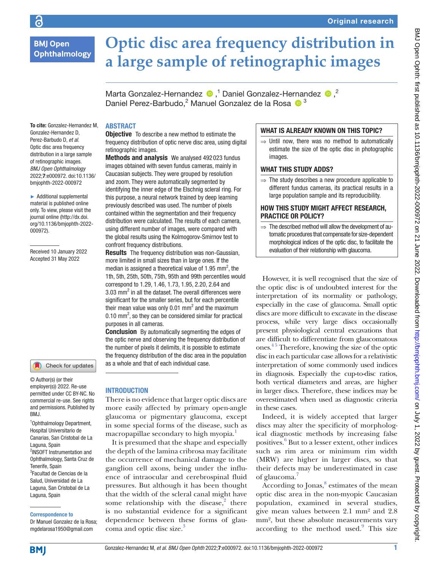**Ophthalmology** 

ခြ

To cite: Gonzalez-Hernandez M, Gonzalez-Hernandez D, Perez-Barbudo D, *et al*. Optic disc area frequency distribution in a large sample of retinographic images. *BMJ Open Ophthalmology* 2022;7:e000972. doi:10.1136/ bmjophth-2022-000972 ► Additional supplemental material is published online only. To view, please visit the journal online ([http://dx.doi.](http://dx.doi.org/10.1136/bmjophth-2022-000972) [org/10.1136/bmjophth-2022-](http://dx.doi.org/10.1136/bmjophth-2022-000972)

[000972](http://dx.doi.org/10.1136/bmjophth-2022-000972)).

Received 10 January 2022 Accepted 31 May 2022

# **Optic disc area frequency distribution in a large sample of retinographic images**

Marta Gonzalez-Hernandez  $\bullet$ ,<sup>1</sup> Daniel Gonzalez-Hernandez  $\bullet$ ,<sup>2</sup> Daniel Perez-Barbudo,<sup>2</sup> Manuel Gonzalez de la Rosa  $\bullet$ <sup>3</sup>

## ABSTRACT

**Objective** To describe a new method to estimate the frequency distribution of optic nerve disc area, using digital retinographic images.

Methods and analysis We analysed 492023 fundus images obtained with seven fundus cameras, mainly in Caucasian subjects. They were grouped by resolution and zoom. They were automatically segmented by identifying the inner edge of the Elschnig scleral ring. For this purpose, a neural network trained by deep learning previously described was used. The number of pixels contained within the segmentation and their frequency distribution were calculated. The results of each camera, using different number of images, were compared with the global results using the Kolmogorov-Smirnov test to confront frequency distributions.

**Results** The frequency distribution was non-Gaussian. more limited in small sizes than in large ones. If the median is assigned a theoretical value of 1.95 mm<sup>2</sup>, the 1th, 5th, 25th, 50th, 75th, 95th and 99th percentiles would correspond to 1.29, 1.46, 1.73, 1.95, 2.20, 2.64 and  $3.03$  mm<sup>2</sup> in all the dataset. The overall differences were significant for the smaller series, but for each percentile their mean value was only 0.01 mm<sup>2</sup> and the maximum  $0.10$  mm<sup>2</sup>, so they can be considered similar for practical purposes in all cameras.

**Conclusion** By automatically segmenting the edges of the optic nerve and observing the frequency distribution of the number of pixels it delimits, it is possible to estimate the frequency distribution of the disc area in the population as a whole and that of each individual case.

## INTRODUCTION

There is no evidence that larger optic discs are more easily affected by primary open-angle glaucoma or pigmentary glaucoma, except in some special forms of the disease, such as macropapillae secondary to high myopia.<sup>1</sup>

It is presumed that the shape and especially the depth of the lamina cribrosa may facilitate the occurrence of mechanical damage to the ganglion cell axons, being under the influence of intraocular and cerebrospinal fluid pressures. But although it has been thought that the width of the scleral canal might have some relationship with the disease, $2$  there is no substantial evidence for a significant dependence between these forms of glaucoma and optic disc size.<sup>3</sup>

# WHAT IS ALREADY KNOWN ON THIS TOPIC?

 $\Rightarrow$  Until now, there was no method to automatically estimate the size of the optic disc in photographic images.

## WHAT THIS STUDY ADDS?

 $\Rightarrow$  The study describes a new procedure applicable to different fundus cameras, its practical results in a large population sample and its reproducibility.

## HOW THIS STUDY MIGHT AFFECT RESEARCH, PRACTICE OR POLICY?

 $\Rightarrow$  The described method will allow the development of automatic procedures that compensate for size-dependent morphological indices of the optic disc, to facilitate the evaluation of their relationship with glaucoma.

However, it is well recognised that the size of the optic disc is of undoubted interest for the interpretation of its normality or pathology, especially in the case of glaucoma. Small optic discs are more difficult to excavate in the disease process, while very large discs occasionally present physiological central excavations that are difficult to differentiate from glaucomatous ones. [4 5](#page-4-0) Therefore, knowing the size of the optic disc in each particular case allows for a relativistic interpretation of some commonly used indices in diagnosis. Especially the cup-to-disc ratios, both vertical diameters and areas, are higher in larger discs. Therefore, these indices may be overestimated when used as diagnostic criteria in these cases.

Indeed, it is widely accepted that larger discs may alter the specificity of morphological diagnostic methods by increasing false positives.<sup>[6](#page-4-1)</sup> But to a lesser extent, other indices such as rim area or minimum rim width (MRW) are higher in larger discs, so that their defects may be underestimated in case of glaucoma.[7](#page-4-2)

According to Jonas,<sup>8</sup> estimates of the mean optic disc area in the non-myopic Caucasian population, examined in several studies, give mean values between 2.1 mm² and 2.8 mm², but these absolute measurements vary according to the method used.<sup>[9](#page-4-4)</sup> This size

#### employer(s)) 2022. Re-use permitted under CC BY-NC. No commercial re-use. See rights

Check for updates

© Author(s) (or their

1 Ophthalmology Department, Hospital Universitario de Canarias, San Cristobal de La Laguna, Spain 2 INSOFT Instrumentation and Ophthalmology, Santa Cruz de and permissions. Published by BMJ.

Tenerife, Spain <sup>3</sup>Facultad de Ciencias de la Salud, Universidad de La Laguna, San Cristobal de La Laguna, Spain

#### Correspondence to

Dr Manuel Gonzalez de la Rosa; mgdelarosa1950@gmail.com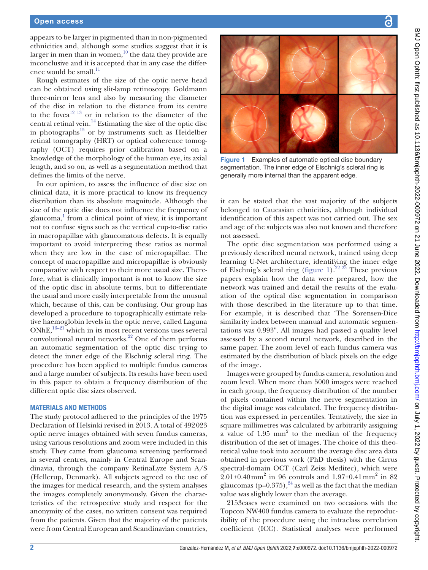### Open access

appears to be larger in pigmented than in non-pigmented ethnicities and, although some studies suggest that it is larger in men than in women, $10$  the data they provide are inconclusive and it is accepted that in any case the differ-ence would be small.<sup>[11](#page-4-6)</sup>

Rough estimates of the size of the optic nerve head can be obtained using slit-lamp retinoscopy, Goldmann three-mirror lens and also by measuring the diameter of the disc in relation to the distance from its centre to the fove $a^{12}$ <sup>13</sup> or in relation to the diameter of the central retinal vein. $^{14}$  $^{14}$  $^{14}$  Estimating the size of the optic disc in photographs $^{15}$  or by instruments such as Heidelber retinal tomography (HRT) or optical coherence tomography (OCT) requires prior calibration based on a knowledge of the morphology of the human eye, its axial length, and so on, as well as a segmentation method that defines the limits of the nerve.

In our opinion, to assess the influence of disc size on clinical data, it is more practical to know its frequency distribution than its absolute magnitude. Although the size of the optic disc does not influence the frequency of glaucoma, $\frac{1}{1}$  $\frac{1}{1}$  $\frac{1}{1}$  from a clinical point of view, it is important not to confuse signs such as the vertical cup-to-disc ratio in macropapillae with glaucomatous defects. It is equally important to avoid interpreting these ratios as normal when they are low in the case of micropapillae. The concept of macropapillae and micropapillae is obviously comparative with respect to their more usual size. Therefore, what is clinically important is not to know the size of the optic disc in absolute terms, but to differentiate the usual and more easily interpretable from the unusual which, because of this, can be confusing. Our group has developed a procedure to topographically estimate relative haemoglobin levels in the optic nerve, called Laguna  $ONhE<sub>16–21</sub>$  which in its most recent versions uses several convolutional neural networks. $22$  One of them performs an automatic segmentation of the optic disc trying to detect the inner edge of the Elschnig scleral ring. The procedure has been applied to multiple fundus cameras and a large number of subjects. Its results have been used in this paper to obtain a frequency distribution of the different optic disc sizes observed.

## MATERIALS AND METHODS

The study protocol adhered to the principles of the 1975 Declaration of Helsinki revised in 2013. A total of 492023 optic nerve images obtained with seven fundus cameras, using various resolutions and zoom were included in this study. They came from glaucoma screening performed in several centres, mainly in Central Europe and Scandinavia, through the company RetinaLyze System A/S (Hellerup, Denmark). All subjects agreed to the use of the images for medical research, and the system analyses the images completely anonymously. Given the characteristics of the retrospective study and respect for the anonymity of the cases, no written consent was required from the patients. Given that the majority of the patients were from Central European and Scandinavian countries,



Figure 1 Examples of automatic optical disc boundary segmentation. The inner edge of Elschnig's scleral ring is generally more internal than the apparent edge.

<span id="page-1-0"></span>it can be stated that the vast majority of the subjects belonged to Caucasian ethnicities, although individual identification of this aspect was not carried out. The sex and age of the subjects was also not known and therefore not assessed.

The optic disc segmentation was performed using a previously described neural network, trained using deep learning U-Net architecture, identifying the inner edge of Elschnig's scleral ring [\(figure](#page-1-0) 1).<sup>22</sup> <sup>23</sup> These previous papers explain how the data were prepared, how the network was trained and detail the results of the evaluation of the optical disc segmentation in comparison with those described in the literature up to that time. For example, it is described that 'The Sorensen-Dice similarity index between manual and automatic segmentations was 0.993". All images had passed a quality level assessed by a second neural network, described in the same paper. The zoom level of each fundus camera was estimated by the distribution of black pixels on the edge of the image.

Images were grouped by fundus camera, resolution and zoom level. When more than 5000 images were reached in each group, the frequency distribution of the number of pixels contained within the nerve segmentation in the digital image was calculated. The frequency distribution was expressed in percentiles. Tentatively, the size in square millimetres was calculated by arbitrarily assigning  $a$  value of 1.95 mm<sup>2</sup> to the median of the frequency distribution of the set of images. The choice of this theoretical value took into account the average disc area data obtained in previous work (PhD thesis) with the Cirrus spectral-domain OCT (Carl Zeiss Meditec), which were  $2.01\pm0.40$  mm<sup>2</sup> in 96 controls and 1.97 $\pm0.41$  mm<sup>2</sup> in 82 glaucomas (p= $0.375$ ),<sup>24</sup> as well as the fact that the median value was slightly lower than the average.

2153cases were examined on two occasions with the Topcon NW400 fundus camera to evaluate the reproducibility of the procedure using the intraclass correlation coefficient (ICC). Statistical analyses were performed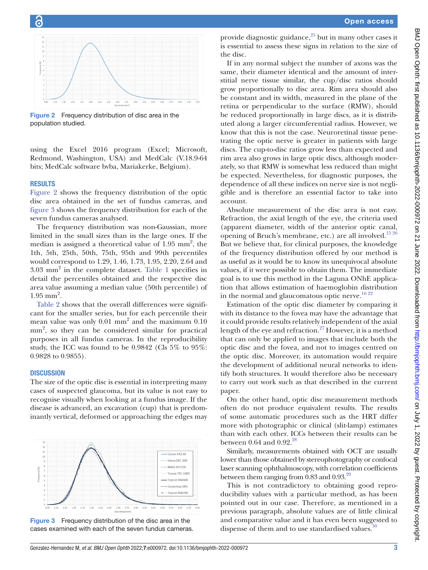

<span id="page-2-0"></span>Figure 2 Frequency distribution of disc area in the population studied.

using the Excel 2016 program (Excel; Microsoft, Redmond, Washington, USA) and MedCalc (V.18.9-64 bits; MedCalc software bvba, Mariakerke, Belgium).

## RESULTS

[Figure](#page-2-0) 2 shows the frequency distribution of the optic disc area obtained in the set of fundus cameras, and [figure](#page-2-1) 3 shows the frequency distribution for each of the seven fundus cameras analysed.

The frequency distribution was non-Gaussian, more limited in the small sizes than in the large ones. If the median is assigned a theoretical value of  $1.95 \text{ mm}^2$ , the 1th, 5th, 25th, 50th, 75th, 95th and 99th percentiles would correspond to 1.29, 1.46, 1.73, 1.95, 2.20, 2.64 and 3.03 mm<sup>2</sup> in the complete dataset. [Table](#page-3-0) 1 specifies in detail the percentiles obtained and the respective disc area value assuming a median value (50th percentile) of  $1.95$  mm<sup>2</sup>.

[Table](#page-3-1) 2 shows that the overall differences were significant for the smaller series, but for each percentile their mean value was only 0.01 mm<sup>2</sup> and the maximum 0.10 mm<sup>2</sup>, so they can be considered similar for practical purposes in all fundus cameras. In the reproducibility study, the ICC was found to be 0.9842 (Cls 5% to 95%: 0.9828 to 0.9855).

## **DISCUSSION**

The size of the optic disc is essential in interpreting many cases of suspected glaucoma, but its value is not easy to recognise visually when looking at a fundus image. If the disease is advanced, an excavation (cup) that is predominantly vertical, deformed or approaching the edges may



<span id="page-2-1"></span>Figure 3 Frequency distribution of the disc area in the cases examined with each of the seven fundus cameras.

provide diagnostic guidance, $25$  but in many other cases it is essential to assess these signs in relation to the size of the disc.

If in any normal subject the number of axons was the same, their diameter identical and the amount of interstitial nerve tissue similar, the cup/disc ratios should grow proportionally to disc area. Rim area should also be constant and its width, measured in the plane of the retina or perpendicular to the surface (RMW), should be reduced proportionally in large discs, as it is distributed along a larger circumferential radius. However, we know that this is not the case. Neuroretinal tissue penetrating the optic nerve is greater in patients with large discs. The cup-to-disc ratios grow less than expected and rim area also grows in large optic discs, although moderately, so that RMW is somewhat less reduced than might be expected. Nevertheless, for diagnostic purposes, the dependence of all these indices on nerve size is not negligible and is therefore an essential factor to take into account.

Absolute measurement of the disc area is not easy. Refraction, the axial length of the eye, the criteria used (apparent diameter, width of the anterior optic canal, opening of Bruch's membrane, etc.) are all involved.<sup>1526</sup> But we believe that, for clinical purposes, the knowledge of the frequency distribution offered by our method is as useful as it would be to know its unequivocal absolute values, if it were possible to obtain them. The immediate goal is to use this method in the Laguna ONhE application that allows estimation of haemoglobin distribution in the normal and glaucomatous optic nerve. $16\frac{22}{2}$ 

Estimation of the optic disc diameter by comparing it with its distance to the fovea may have the advantage that it could provide results relatively independent of the axial length of the eye and refraction.<sup>27</sup> However, it is a method that can only be applied to images that include both the optic disc and the fovea, and not to images centred on the optic disc. Moreover, its automation would require the development of additional neural networks to identify both structures. It would therefore also be necessary to carry out work such as that described in the current paper.

On the other hand, optic disc measurement methods often do not produce equivalent results. The results of some automatic procedures such as the HRT differ more with photographic or clinical (slit-lamp) estimates than with each other. ICCs between their results can be between 0.64 and 0.92. $^{28}$ 

Similarly, measurements obtained with OCT are usually lower than those obtained by stereophotography or confocal laser scanning ophthalmoscopy, with correlation coefficients between them ranging from  $0.83$  and  $0.93$ .<sup>[29](#page-5-0)</sup>

This is not contradictory to obtaining good reproducibility values with a particular method, as has been pointed out in our case. Therefore, as mentioned in a previous paragraph, absolute values are of little clinical and comparative value and it has even been suggested to dispense of them and to use standardised values.<sup>30</sup>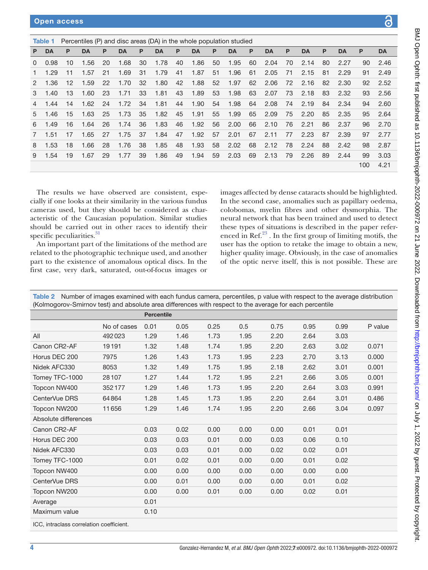<span id="page-3-0"></span>

|                | Percentiles (P) and disc areas (DA) in the whole population studied<br>Table 1 |                   |           |    |           |    |           |    |           |    |      |    |           |     |           |     |           |     |           |
|----------------|--------------------------------------------------------------------------------|-------------------|-----------|----|-----------|----|-----------|----|-----------|----|------|----|-----------|-----|-----------|-----|-----------|-----|-----------|
| P              | <b>DA</b>                                                                      | P                 | <b>DA</b> | P  | <b>DA</b> | P  | <b>DA</b> | P  | <b>DA</b> | P  | DA   | P  | <b>DA</b> | P   | <b>DA</b> | P   | <b>DA</b> | P   | <b>DA</b> |
| $\Omega$       | 0.98                                                                           | 10                | 1.56      | 20 | 1.68      | 30 | 1.78      | 40 | 1.86      | 50 | 1.95 | 60 | 2.04      | 70  | 2.14      | 80  | 2.27      | 90  | 2.46      |
|                | 1.29                                                                           | 11                | 1.57      | 21 | 1.69      | 31 | 1.79      | 41 | 1.87      | 51 | 1.96 | 61 | 2.05      | -71 | 2.15      | -81 | 2.29      | 91  | 2.49      |
| $\mathcal{P}$  | 1.36                                                                           | $12 \overline{ }$ | 1.59      | 22 | 1.70      | 32 | 1.80      | 42 | 1.88      | 52 | 1.97 | 62 | 2.06      | 72  | 2.16      | 82  | 2.30      | 92  | 2.52      |
| 3              | 1.40                                                                           | 13                | 1.60      | 23 | 1.71      | 33 | 1.81      | 43 | 1.89      | 53 | 1.98 | 63 | 2.07      | 73  | 2.18      | 83  | 2.32      | 93  | 2.56      |
| $\overline{4}$ | 1.44                                                                           | 14                | 1.62      | 24 | 1.72      | 34 | 1.81      | 44 | 1.90      | 54 | 1.98 | 64 | 2.08      | 74  | 2.19      | 84  | 2.34      | 94  | 2.60      |
| 5.             | 1.46                                                                           | 15                | 1.63      | 25 | 1.73      | 35 | 1.82      | 45 | 1.91      | 55 | 1.99 | 65 | 2.09      | 75  | 2.20      | 85  | 2.35      | 95  | 2.64      |
| 6              | 1.49                                                                           | 16                | 1.64      | 26 | 1.74      | 36 | 1.83      | 46 | 1.92      | 56 | 2.00 | 66 | 2.10      | 76  | 2.21      | 86  | 2.37      | 96  | 2.70      |
| 7              | 1.51                                                                           | 17                | 1.65      | 27 | 1.75      | 37 | 1.84      | 47 | 1.92      | 57 | 2.01 | 67 | 2.11      | 77  | 2.23      | 87  | 2.39      | 97  | 2.77      |
| 8              | 1.53                                                                           | 18                | 1.66      | 28 | 1.76      | 38 | 1.85      | 48 | 1.93      | 58 | 2.02 | 68 | 2.12      | 78  | 2.24      | 88  | 2.42      | 98  | 2.87      |
| 9              | 1.54                                                                           | 19                | 1.67      | 29 | 1.77      | 39 | 1.86      | 49 | 1.94      | 59 | 2.03 | 69 | 2.13      | 79  | 2.26      | 89  | 2.44      | 99  | 3.03      |
|                |                                                                                |                   |           |    |           |    |           |    |           |    |      |    |           |     |           |     |           | 100 | 4.21      |

The results we have observed are consistent, especially if one looks at their similarity in the various fundus cameras used, but they should be considered as characteristic of the Caucasian population. Similar studies should be carried out in other races to identify their specific peculiarities.<sup>[31](#page-5-2)</sup>

An important part of the limitations of the method are related to the photographic technique used, and another part to the existence of anomalous optical discs. In the first case, very dark, saturated, out-of-focus images or

images affected by dense cataracts should be highlighted. In the second case, anomalies such as papillary oedema, colobomas, myelin fibres and other dysmorphia. The neural network that has been trained and used to detect these types of situations is described in the paper referenced in Ref. $23$ . In the first group of limiting motifs, the user has the option to retake the image to obtain a new, higher quality image. Obviously, in the case of anomalies of the optic nerve itself, this is not possible. These are

<span id="page-3-1"></span>

| Table 2 Number of images examined with each fundus camera, percentiles, p value with respect to the average distribution |
|--------------------------------------------------------------------------------------------------------------------------|
| (Kolmogorov-Smirnov test) and absolute area differences with respect to the average for each percentile                  |

|                                          |             | <b>Percentile</b> |      |      |      |      |      |      |         |
|------------------------------------------|-------------|-------------------|------|------|------|------|------|------|---------|
|                                          | No of cases | 0.01              | 0.05 | 0.25 | 0.5  | 0.75 | 0.95 | 0.99 | P value |
| All                                      | 492023      | 1.29              | 1.46 | 1.73 | 1.95 | 2.20 | 2.64 | 3.03 |         |
| Canon CR2-AF                             | 19191       | 1.32              | 1.48 | 1.74 | 1.95 | 2.20 | 2.63 | 3.02 | 0.071   |
| Horus DEC 200                            | 7975        | 1.26              | 1.43 | 1.73 | 1.95 | 2.23 | 2.70 | 3.13 | 0.000   |
| Nidek AFC330                             | 8053        | 1.32              | 1.49 | 1.75 | 1.95 | 2.18 | 2.62 | 3.01 | 0.001   |
| Tomey TFC-1000                           | 28107       | 1.27              | 1.44 | 1.72 | 1.95 | 2.21 | 2.66 | 3.05 | 0.001   |
| Topcon NW400                             | 352177      | 1.29              | 1.46 | 1.73 | 1.95 | 2.20 | 2.64 | 3.03 | 0.991   |
| CenterVue DRS                            | 64864       | 1.28              | 1.45 | 1.73 | 1.95 | 2.20 | 2.64 | 3.01 | 0.486   |
| Topcon NW200                             | 11656       | 1.29              | 1.46 | 1.74 | 1.95 | 2.20 | 2.66 | 3.04 | 0.097   |
| Absolute differences                     |             |                   |      |      |      |      |      |      |         |
| Canon CR2-AF                             |             | 0.03              | 0.02 | 0.00 | 0.00 | 0.00 | 0.01 | 0.01 |         |
| Horus DEC 200                            |             | 0.03              | 0.03 | 0.01 | 0.00 | 0.03 | 0.06 | 0.10 |         |
| Nidek AFC330                             |             | 0.03              | 0.03 | 0.01 | 0.00 | 0.02 | 0.02 | 0.01 |         |
| Tomey TFC-1000                           |             | 0.01              | 0.02 | 0.01 | 0.00 | 0.00 | 0.01 | 0.02 |         |
| Topcon NW400                             |             | 0.00              | 0.00 | 0.00 | 0.00 | 0.00 | 0.00 | 0.00 |         |
| CenterVue DRS                            |             | 0.00              | 0.01 | 0.00 | 0.00 | 0.00 | 0.01 | 0.02 |         |
| Topcon NW200                             |             | 0.00              | 0.00 | 0.01 | 0.00 | 0.00 | 0.02 | 0.01 |         |
| Average                                  |             | 0.01              |      |      |      |      |      |      |         |
| Maximum value                            |             | 0.10              |      |      |      |      |      |      |         |
| ICC, intraclass correlation coefficient. |             |                   |      |      |      |      |      |      |         |

BMJ Open Ophth: first published as 10.1136/bmjophth-2022-000972 on 21 June 2022. Downloaded from http://bmlophth.bmj.com/ on July 1, 2022 by guest. Protected by copyright. BMJ Open Ophth: first published as 10.1136/bmjophth-20222 on 21 June 2022. Downloaded from <http://bmjophth.bmj.com/> on July 1, 2022 by guest. Protected by copyright.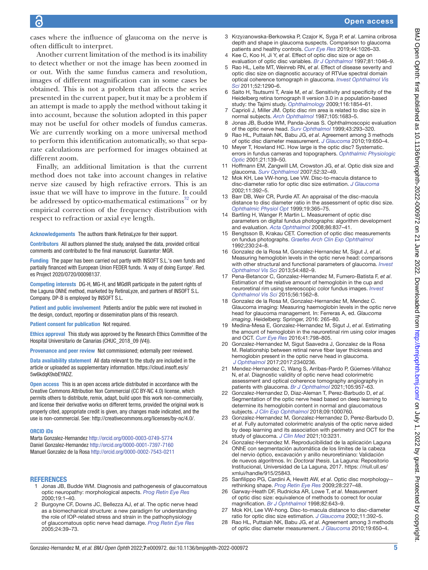cases where the influence of glaucoma on the nerve is often difficult to interpret.

Another current limitation of the method is its inability to detect whether or not the image has been zoomed in or out. With the same fundus camera and resolution, images of different magnification can in some cases be obtained. This is not a problem that affects the series presented in the current paper, but it may be a problem if an attempt is made to apply the method without taking it into account, because the solution adopted in this paper may not be useful for other models of fundus cameras. We are currently working on a more universal method to perform this identification automatically, so that separate calculations are performed for images obtained at different zoom.

Finally, an additional limitation is that the current method does not take into account changes in relative nerve size caused by high refractive errors. This is an issue that we will have to improve in the future. It could be addressed by optico-mathematical estimations $32$  or by empirical correction of the frequency distribution with respect to refraction or axial eye length.

Acknowledgements The authors thank RetinaLyze for their support.

Contributors All authors planned the study, analysed the data, provided critical comments and contributed to the final manuscript. Guarantor: MGR.

Funding The paper has been carried out partly with INSOFT S.L.'s own funds and partially financed with European Union FEDER funds. 'A way of doing Europe'. Red. es Project 2020/0720/00098137.

Competing interests DG-H, MG-H, and MGdlR participate in the patent rights of the Laguna ONhE method, marketed by RetinaLyze, and partners of INSOFT S.L. Company. DP-B is employed by INSOFT S.L.

Patient and public involvement Patients and/or the public were not involved in the design, conduct, reporting or dissemination plans of this research.

Patient consent for publication Not required.

Ethics approval This study was approved by the Research Ethics Committee of the Hospital Universitario de Canarias (CHUC\_2018\_09 (V4)).

Provenance and peer review Not commissioned; externally peer reviewed.

Data availability statement All data relevant to the study are included in the article or uploaded as supplementary information. [https://cloud.insoft.es/s/](https://cloud.insoft.es/s/5w6kdqK9xbEYADZ) [5w6kdqK9xbEYADZ.](https://cloud.insoft.es/s/5w6kdqK9xbEYADZ)

Open access This is an open access article distributed in accordance with the Creative Commons Attribution Non Commercial (CC BY-NC 4.0) license, which permits others to distribute, remix, adapt, build upon this work non-commercially, and license their derivative works on different terms, provided the original work is properly cited, appropriate credit is given, any changes made indicated, and the use is non-commercial. See:<http://creativecommons.org/licenses/by-nc/4.0/>.

#### ORCID iDs

Marta Gonzalez-Hernandez <http://orcid.org/0000-0003-0749-5774> Daniel Gonzalez-Hernandez<http://orcid.org/0000-0001-7397-7160> Manuel Gonzalez de la Rosa <http://orcid.org/0000-0002-7543-0211>

#### **REFERENCES**

- <span id="page-4-10"></span>1 Jonas JB, Budde WM. Diagnosis and pathogenesis of glaucomatous optic neuropathy: morphological aspects. *[Prog Retin Eye Res](http://dx.doi.org/10.1016/s1350-9462(99)00002-6)* 2000;19:1–40.
- 2 Burgoyne CF, Downs JC, Bellezza AJ, *et al*. The optic nerve head as a biomechanical structure: a new paradigm for understanding the role of IOP-related stress and strain in the pathophysiology of glaucomatous optic nerve head damage. *[Prog Retin Eye Res](http://dx.doi.org/10.1016/j.preteyeres.2004.06.001)* 2005;24:39–73.
- 3 Krzyżanowska-Berkowska P, Czajor K, Syga P, *et al*. Lamina cribrosa depth and shape in glaucoma suspects. Comparison to glaucoma patients and healthy controls. *[Curr Eye Res](http://dx.doi.org/10.1080/02713683.2019.1616767)* 2019;44:1026–33.
- <span id="page-4-0"></span>4 Kee C, Koo H, Ji Y, *et al*. Effect of optic disc size or age on evaluation of optic disc variables. *[Br J Ophthalmol](http://dx.doi.org/10.1136/bjo.81.12.1046)* 1997;81:1046–9.
- 5 Rao HL, Leite MT, Weinreb RN, *et al*. Effect of disease severity and optic disc size on diagnostic accuracy of RTVue spectral domain optical coherence tomograph in glaucoma. *[Invest Ophthalmol Vis](http://dx.doi.org/10.1167/iovs.10-5546)  [Sci](http://dx.doi.org/10.1167/iovs.10-5546)* 2011;52:1290–6.
- <span id="page-4-1"></span>6 Saito H, Tsutsumi T, Araie M, *et al*. Sensitivity and specificity of the Heidelberg retina tomograph II version 3.0 in a population-based study: the Tajimi study. *[Ophthalmology](http://dx.doi.org/10.1016/j.ophtha.2009.03.048)* 2009;116:1854–61.
- <span id="page-4-2"></span>7 Caprioli J, Miller JM. Optic disc rim area is related to disc size in normal subjects. *[Arch Ophthalmol](http://dx.doi.org/10.1001/archopht.1987.01060120081030)* 1987;105:1683–5.
- <span id="page-4-3"></span>8 Jonas JB, Budde WM, Panda-Jonas S. Ophthalmoscopic evaluation of the optic nerve head. *[Surv Ophthalmol](http://dx.doi.org/10.1016/S0039-6257(98)00049-6)* 1999;43:293–320.
- <span id="page-4-4"></span>9 Rao HL, Puttaiah NK, Babu JG, *et al*. Agreement among 3 methods of optic disc diameter measurement. *[J Glaucoma](http://dx.doi.org/10.1097/IJG.0b013e3181ca7f9a)* 2010;19:650–4.
- <span id="page-4-5"></span>10 Meyer T, Howland HC. How large is the optic disc? Systematic. errors in fundus cameras and topographers. *[Ophthalmic Physiologic](http://dx.doi.org/10.1046/j.1475-1313.2001.00551.x)  [Optic](http://dx.doi.org/10.1046/j.1475-1313.2001.00551.x)* 2001;21:139–50.
- <span id="page-4-6"></span>11 Hoffmann EM, Zangwill LM, Crowston JG, *et al*. Optic disk size and glaucoma. *[Surv Ophthalmol](http://dx.doi.org/10.1016/j.survophthal.2006.10.002)* 2007;52:32–49.
- <span id="page-4-7"></span>12 Mok KH, Lee VW-hong, Lee VW. Disc-to-macula distance to disc-diameter ratio for optic disc size estimation. *[J Glaucoma](http://dx.doi.org/10.1097/00061198-200210000-00004)* 2002;11:392–5.
- 13 Barr DB, Weir CR, Purdie AT. An appraisal of the disc-macula distance to disc diameter ratio in the assessment of optic disc size. *[Ophthalmic Physiol Opt](http://dx.doi.org/10.1046/j.1475-1313.1999.00463.x)* 1999;19:365–75.
- <span id="page-4-8"></span>14 Bartling H, Wanger P, Martin L. Measurement of optic disc parameters on digital fundus photographs: algorithm development and evaluation. *[Acta Ophthalmol](http://dx.doi.org/10.1111/j.1755-3768.2007.01146.x)* 2008;86:837–41.
- <span id="page-4-9"></span>15 Bengtsson B, Krakau CET. Correction of optic disc measurements on fundus photographs. *[Graefes Arch Clin Exp Ophthalmol](http://dx.doi.org/10.1007/BF00166758)* 1992;230:24–8.
- <span id="page-4-11"></span>16 Gonzalez de la Rosa M, Gonzalez-Hernandez M, Sigut J, *et al*. Measuring hemoglobin levels in the optic nerve head: comparisons with other structural and functional parameters of glaucoma. *[Invest](http://dx.doi.org/10.1167/iovs.12-10761)  [Ophthalmol Vis Sci](http://dx.doi.org/10.1167/iovs.12-10761)* 2013;54:482–9.
- 17 Pena-Betancor C, Gonzalez-Hernandez M, Fumero-Batista F, *et al*. Estimation of the relative amount of hemoglobin in the cup and neuroretinal rim using stereoscopic color fundus images. *[Invest](http://dx.doi.org/10.1167/iovs.14-15592)  [Ophthalmol Vis Sci](http://dx.doi.org/10.1167/iovs.14-15592)* 2015;56:1562–8.
- 18 Gonzalez de la Rosa M, Gonzalez-Hernandez M, Mendez C. Glaucoma imaging: Measuring haemoglobin levels in the optic nerve head for glaucoma management. In: Ferreras A, ed. *Glaucoma imaging*. Heidelberg: Springer, 2016: 265–80.
- 19 Medina-Mesa E, Gonzalez-Hernandez M, Sigut J, *et al*. Estimating the amount of hemoglobin in the neuroretinal rim using color images and OCT. *[Curr Eye Res](http://dx.doi.org/10.3109/02713683.2015.1062112)* 2016;41:798–805.
- 20 Gonzalez-Hernandez M, Sigut Saavedra J, Gonzalez de la Rosa M. Relationship between retinal nerve fiber layer thickness and hemoglobin present in the optic nerve head in glaucoma. *[J Ophthalmol](http://dx.doi.org/10.1155/2017/2340236)* 2017;2017:2340236.
- 21 Mendez-Hernandez C, Wang S, Arribas-Pardo P, Güemes-Villahoz N, *et al*. Diagnostic validity of optic nerve head colorimetric assessment and optical coherence tomography angiography in patients with glaucoma. *[Br J Ophthalmol](http://dx.doi.org/10.1136/bjophthalmol-2020-316455)* 2021;105:957–63.
- <span id="page-4-12"></span>22 Gonzalez-Hernandez D, Diaz-Aleman T, Perez-Barbudo D, *et al*. Segmentation of the optic nerve head based on deep learning to determine its hemoglobin content in normal and glaucomatous subjects. *[J Clin Exp Ophthalmol](http://dx.doi.org/10.4172/2155-9570.1000760)* 2018;09:1000760.
- <span id="page-4-17"></span>23 Gonzalez-Hernandez M, Gonzalez-Hernandez D, Perez-Barbudo D, *et al*. Fully automated colorimetric analysis of the optic nerve aided by deep learning and its association with perimetry and OCT for the study of glaucoma. *[J Clin Med](http://dx.doi.org/10.3390/jcm10153231)* 2021;10:3231.
- <span id="page-4-13"></span>24 Gonzalez-Hernandez M. Reproducibilidad de la aplicación Laguna ONhE con segmentación automática de los límites de la cabeza del nervio óptico, excavación y anillo neuroretiniano: Validación de nuevos algoritmos. In: *Doctoral thesis*. La Laguna: Repositorio Institucional, Universidad de La Laguna, 2017. [https: //riull.ull.es/](https:%20//riull.ull.es/xmlui/handle/915/25843.) [xmlui/handle/915/25843.](https:%20//riull.ull.es/xmlui/handle/915/25843.)
- <span id="page-4-14"></span>25 Sanfilippo PG, Cardini A, Hewitt AW, *et al*. Optic disc morphology- rethinking shape. *[Prog Retin Eye Res](http://dx.doi.org/10.1016/j.preteyeres.2009.05.004)* 2009;28:227–48.
- 26 Garway-Heath DF, Rudnicka AR, Lowe T, *et al*. Measurement of optic disc size: equivalence of methods to correct for ocular magnification. *[Br J Ophthalmol](http://dx.doi.org/10.1136/bjo.82.6.643)* 1998;82:643–9.
- <span id="page-4-15"></span>27 Mok KH, Lee VW-hong. Disc-to-macula distance to disc-diameter ratio for optic disc size estimation. *[J Glaucoma](http://dx.doi.org/10.1097/00061198-200210000-00004)* 2002;11:392–5.
- <span id="page-4-16"></span>28 Rao HL, Puttaiah NK, Babu JG, *et al*. Agreement among 3 methods of optic disc diameter measurement. *[J Glaucoma](http://dx.doi.org/10.1097/IJG.0b013e3181ca7f9a)* 2010;19:650–4.